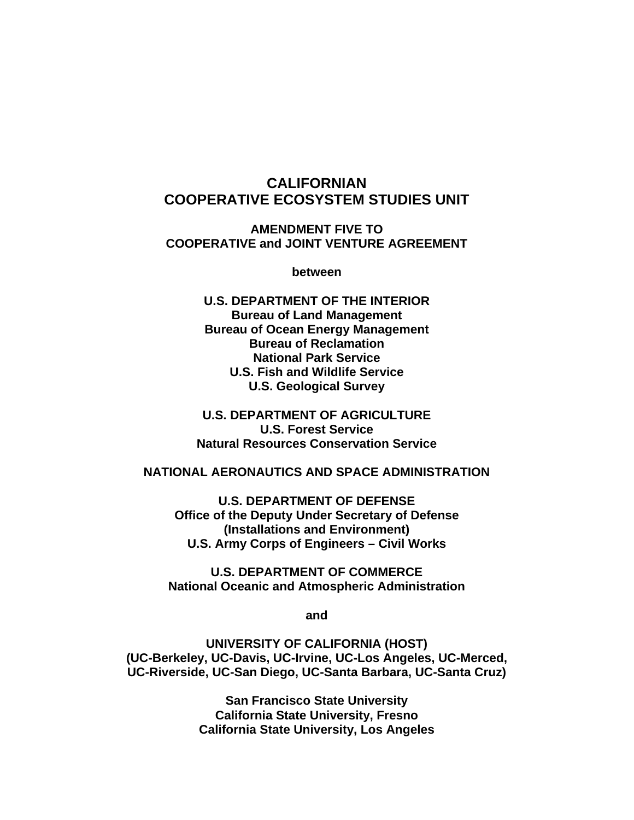# **CALIFORNIAN COOPERATIVE ECOSYSTEM STUDIES UNIT**

**AMENDMENT FIVE TO COOPERATIVE and JOINT VENTURE AGREEMENT** 

**between** 

**U.S. DEPARTMENT OF THE INTERIOR Bureau of Land Management Bureau of Ocean Energy Management Bureau of Reclamation National Park Service U.S. Fish and Wildlife Service U.S. Geological Survey** 

**U.S. DEPARTMENT OF AGRICULTURE U.S. Forest Service Natural Resources Conservation Service** 

#### **NATIONAL AERONAUTICS AND SPACE ADMINISTRATION**

**U.S. DEPARTMENT OF DEFENSE Office of the Deputy Under Secretary of Defense (Installations and Environment) U.S. Army Corps of Engineers – Civil Works** 

**U.S. DEPARTMENT OF COMMERCE National Oceanic and Atmospheric Administration** 

**and** 

**UNIVERSITY OF CALIFORNIA (HOST) (UC-Berkeley, UC-Davis, UC-Irvine, UC-Los Angeles, UC-Merced, UC-Riverside, UC-San Diego, UC-Santa Barbara, UC-Santa Cruz)** 

> **San Francisco State University California State University, Fresno California State University, Los Angeles**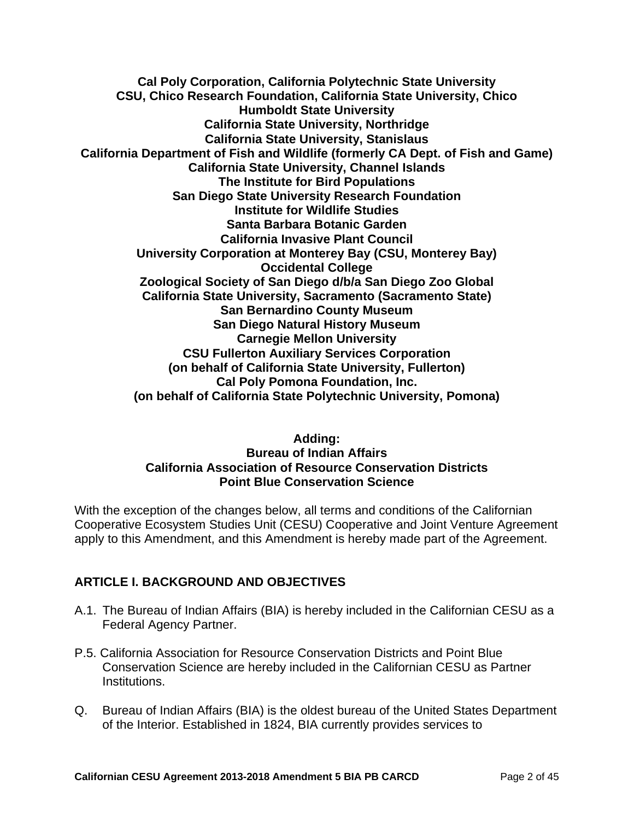**Cal Poly Corporation, California Polytechnic State University CSU, Chico Research Foundation, California State University, Chico Humboldt State University California State University, Northridge California State University, Stanislaus California Department of Fish and Wildlife (formerly CA Dept. of Fish and Game) California State University, Channel Islands The Institute for Bird Populations San Diego State University Research Foundation Institute for Wildlife Studies Santa Barbara Botanic Garden California Invasive Plant Council University Corporation at Monterey Bay (CSU, Monterey Bay) Occidental College Zoological Society of San Diego d/b/a San Diego Zoo Global California State University, Sacramento (Sacramento State) San Bernardino County Museum San Diego Natural History Museum Carnegie Mellon University CSU Fullerton Auxiliary Services Corporation (on behalf of California State University, Fullerton) Cal Poly Pomona Foundation, Inc. (on behalf of California State Polytechnic University, Pomona)** 

#### **Adding: Bureau of Indian Affairs California Association of Resource Conservation Districts Point Blue Conservation Science**

With the exception of the changes below, all terms and conditions of the Californian Cooperative Ecosystem Studies Unit (CESU) Cooperative and Joint Venture Agreement apply to this Amendment, and this Amendment is hereby made part of the Agreement.

## **ARTICLE I. BACKGROUND AND OBJECTIVES**

- A.1. The Bureau of Indian Affairs (BIA) is hereby included in the Californian CESU as a Federal Agency Partner.
- P.5. California Association for Resource Conservation Districts and Point Blue Conservation Science are hereby included in the Californian CESU as Partner Institutions.
- Q. Bureau of Indian Affairs (BIA) is the oldest bureau of the United States Department of the Interior. Established in 1824, BIA currently provides services to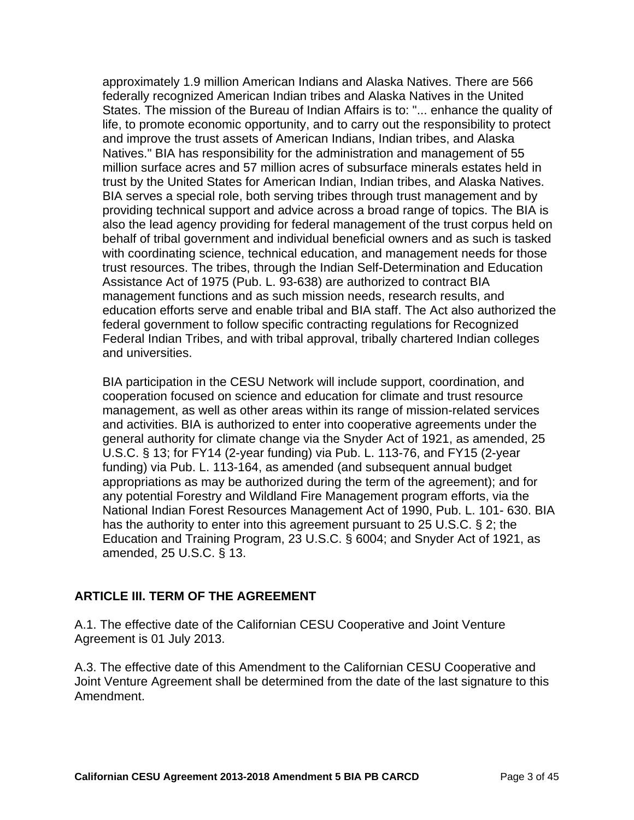approximately 1.9 million American Indians and Alaska Natives. There are 566 federally recognized American Indian tribes and Alaska Natives in the United States. The mission of the Bureau of Indian Affairs is to: "... enhance the quality of life, to promote economic opportunity, and to carry out the responsibility to protect and improve the trust assets of American Indians, Indian tribes, and Alaska Natives." BIA has responsibility for the administration and management of 55 million surface acres and 57 million acres of subsurface minerals estates held in trust by the United States for American Indian, Indian tribes, and Alaska Natives. BIA serves a special role, both serving tribes through trust management and by providing technical support and advice across a broad range of topics. The BIA is also the lead agency providing for federal management of the trust corpus held on behalf of tribal government and individual beneficial owners and as such is tasked with coordinating science, technical education, and management needs for those trust resources. The tribes, through the Indian Self-Determination and Education Assistance Act of 1975 (Pub. L. 93-638) are authorized to contract BIA management functions and as such mission needs, research results, and education efforts serve and enable tribal and BIA staff. The Act also authorized the federal government to follow specific contracting regulations for Recognized Federal Indian Tribes, and with tribal approval, tribally chartered Indian colleges and universities.

BIA participation in the CESU Network will include support, coordination, and cooperation focused on science and education for climate and trust resource management, as well as other areas within its range of mission-related services and activities. BIA is authorized to enter into cooperative agreements under the general authority for climate change via the Snyder Act of 1921, as amended, 25 U.S.C. § 13; for FY14 (2-year funding) via Pub. L. 113-76, and FY15 (2-year funding) via Pub. L. 113-164, as amended (and subsequent annual budget appropriations as may be authorized during the term of the agreement); and for any potential Forestry and Wildland Fire Management program efforts, via the National Indian Forest Resources Management Act of 1990, Pub. L. 101- 630. BIA has the authority to enter into this agreement pursuant to 25 U.S.C. § 2; the Education and Training Program, 23 U.S.C. § 6004; and Snyder Act of 1921, as amended, 25 U.S.C. § 13.

#### **ARTICLE III. TERM OF THE AGREEMENT**

A.1. The effective date of the Californian CESU Cooperative and Joint Venture Agreement is 01 July 2013.

A.3. The effective date of this Amendment to the Californian CESU Cooperative and Joint Venture Agreement shall be determined from the date of the last signature to this Amendment.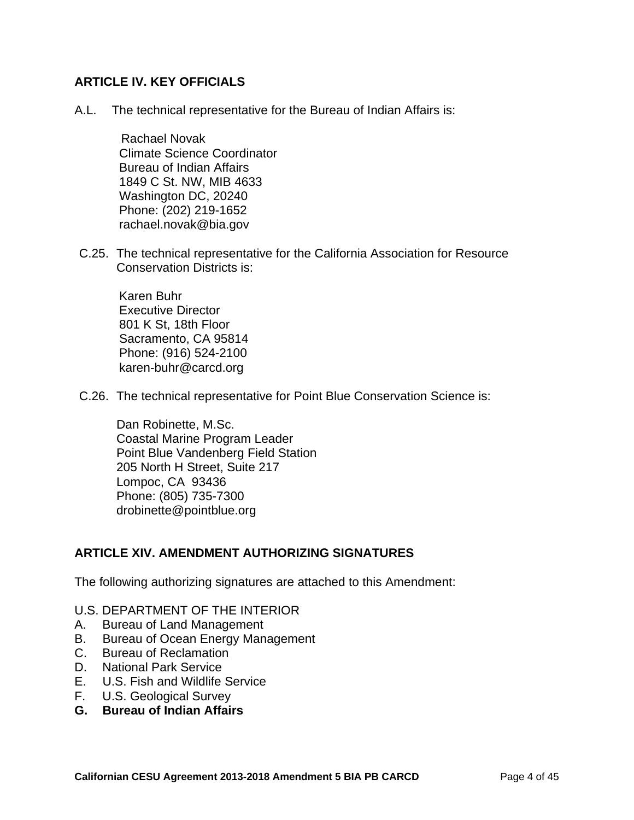#### **ARTICLE IV. KEY OFFICIALS**

A.L. The technical representative for the Bureau of Indian Affairs is:

 Rachael Novak Climate Science Coordinator Bureau of Indian Affairs 1849 C St. NW, MIB 4633 Washington DC, 20240 Phone: (202) 219-1652 rachael.novak@bia.gov

C.25. The technical representative for the California Association for Resource Conservation Districts is:

Karen Buhr Executive Director 801 K St, 18th Floor Sacramento, CA 95814 Phone: (916) 524-2100 karen-buhr@carcd.org

C.26. The technical representative for Point Blue Conservation Science is:

Dan Robinette, M.Sc. Coastal Marine Program Leader Point Blue Vandenberg Field Station 205 North H Street, Suite 217 Lompoc, CA 93436 Phone: (805) 735-7300 drobinette@pointblue.org

#### **ARTICLE XIV. AMENDMENT AUTHORIZING SIGNATURES**

The following authorizing signatures are attached to this Amendment:

- U.S. DEPARTMENT OF THE INTERIOR
- A. Bureau of Land Management
- B. Bureau of Ocean Energy Management
- C. Bureau of Reclamation
- D. National Park Service
- E. U.S. Fish and Wildlife Service
- F. U.S. Geological Survey
- **G. Bureau of Indian Affairs**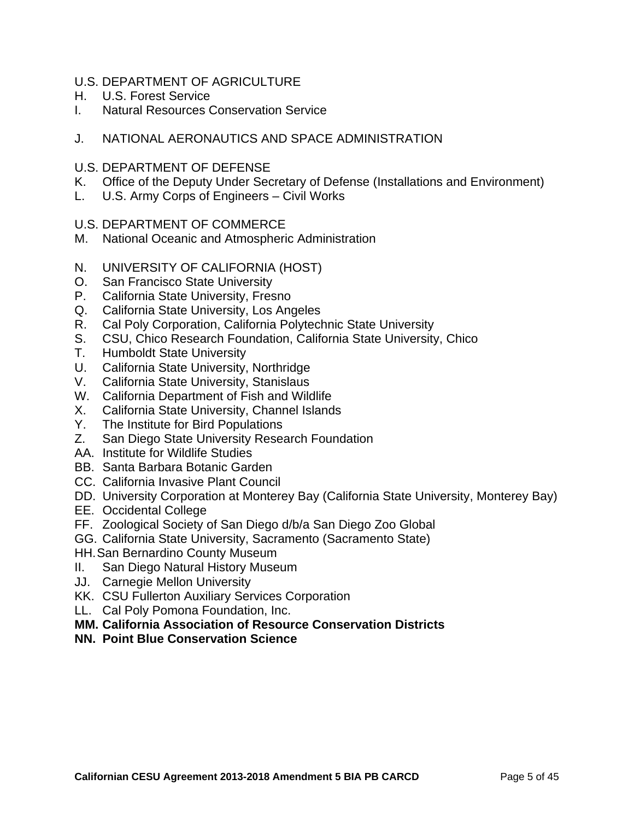- U.S. DEPARTMENT OF AGRICULTURE
- H. U.S. Forest Service
- I. Natural Resources Conservation Service
- J. NATIONAL AERONAUTICS AND SPACE ADMINISTRATION
- U.S. DEPARTMENT OF DEFENSE
- K. Office of the Deputy Under Secretary of Defense (Installations and Environment)
- L. U.S. Army Corps of Engineers Civil Works
- U.S. DEPARTMENT OF COMMERCE
- M. National Oceanic and Atmospheric Administration
- N. UNIVERSITY OF CALIFORNIA (HOST)
- O. San Francisco State University
- P. California State University, Fresno
- Q. California State University, Los Angeles
- R. Cal Poly Corporation, California Polytechnic State University
- S. CSU, Chico Research Foundation, California State University, Chico
- T. Humboldt State University
- U. California State University, Northridge
- V. California State University, Stanislaus
- W. California Department of Fish and Wildlife
- X. California State University, Channel Islands
- Y. The Institute for Bird Populations
- Z. San Diego State University Research Foundation
- AA. Institute for Wildlife Studies
- BB. Santa Barbara Botanic Garden
- CC. California Invasive Plant Council
- DD. University Corporation at Monterey Bay (California State University, Monterey Bay)
- EE. Occidental College
- FF. Zoological Society of San Diego d/b/a San Diego Zoo Global
- GG. California State University, Sacramento (Sacramento State)
- HH. San Bernardino County Museum
- II. San Diego Natural History Museum
- JJ. Carnegie Mellon University
- KK. CSU Fullerton Auxiliary Services Corporation
- LL. Cal Poly Pomona Foundation, Inc.
- **MM. California Association of Resource Conservation Districts**
- **NN. Point Blue Conservation Science**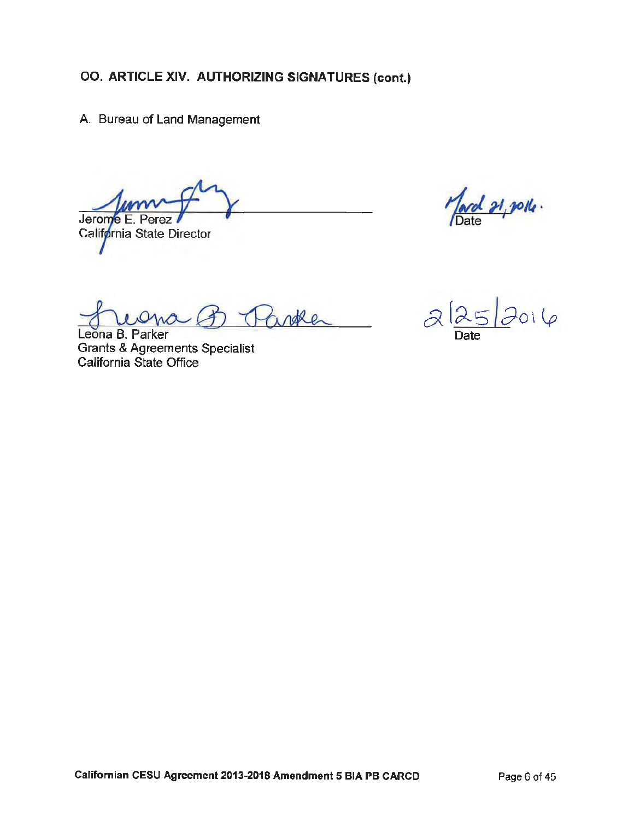A. Bureau of Land Management

Jerome E. Perez

California State Director

March 21, polle.

inthe

Leona B. Parker **Grants & Agreements Specialist** California State Office

 $2\sqrt{25}2016$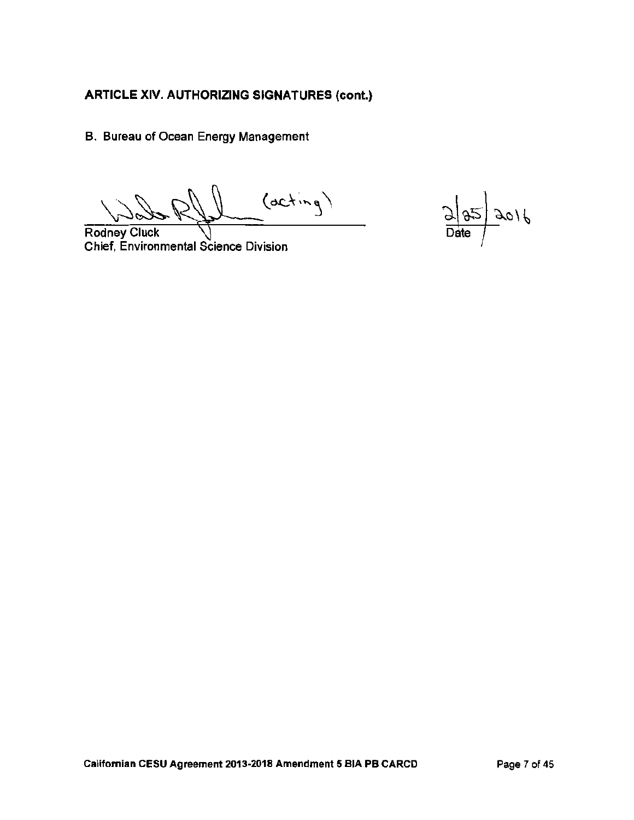B. Bureau of Ocean Energy Management

 $(acting)$ 

**Rodney Cluck** Chief, Environmental Science Division

 $\frac{\partial}{\partial \theta}$  $3016$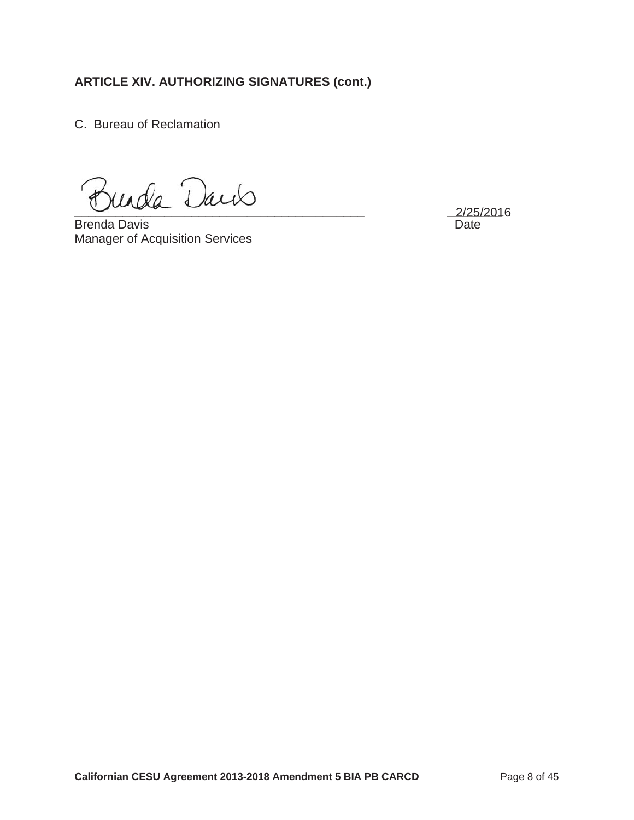C. Bureau of Reclamation

Jurda Daris

Brenda Davis Date Manager of Acquisition Services

2/25/2016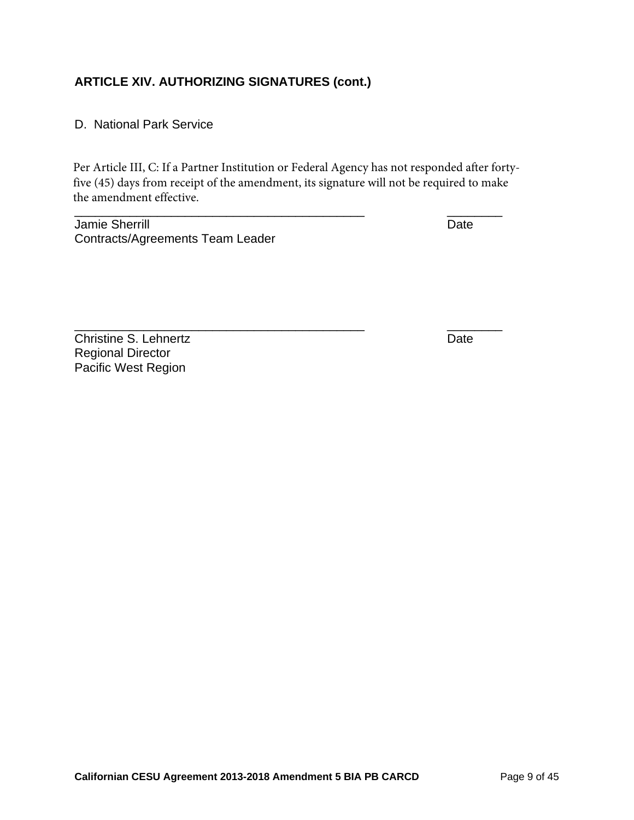#### D. National Park Service

Per Article III, C: If a Partner Institution or Federal Agency has not responded after fortyfive (45) days from receipt of the amendment, its signature will not be required to make the amendment effective.

Jamie Sherrill Date Contracts/Agreements Team Leader

\_\_\_\_\_\_\_\_\_\_\_\_\_\_\_\_\_\_\_\_\_\_\_\_\_\_\_\_\_\_\_\_\_\_\_\_\_\_\_\_\_\_ \_\_\_\_\_\_\_\_

Christine S. Lehnertz **Date** Regional Director Pacific West Region

\_\_\_\_\_\_\_\_\_\_\_\_\_\_\_\_\_\_\_\_\_\_\_\_\_\_\_\_\_\_\_\_\_\_\_\_\_\_\_\_\_\_ \_\_\_\_\_\_\_\_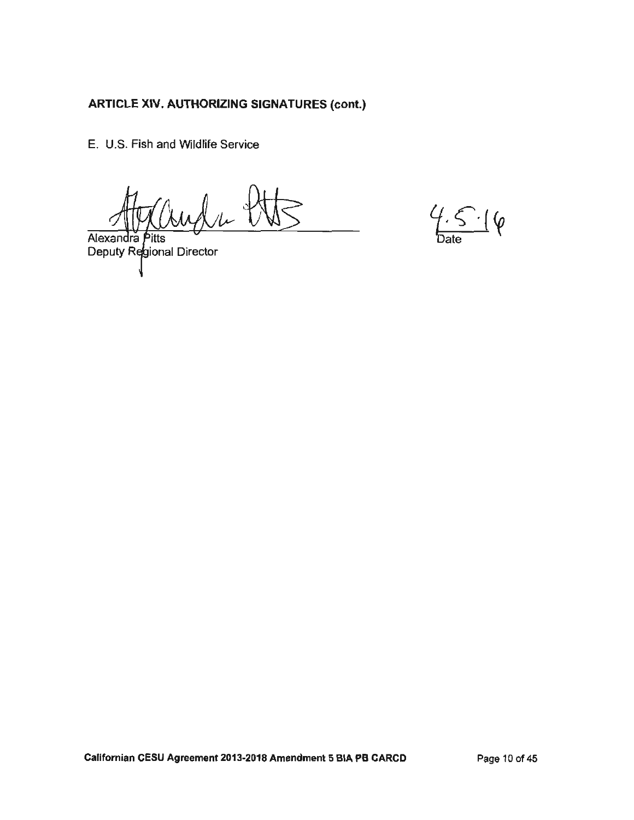E. U.S. Fish and Wildlife Service

Alexandra Pitts<br>Deputy Regional Director

 $4.5.16$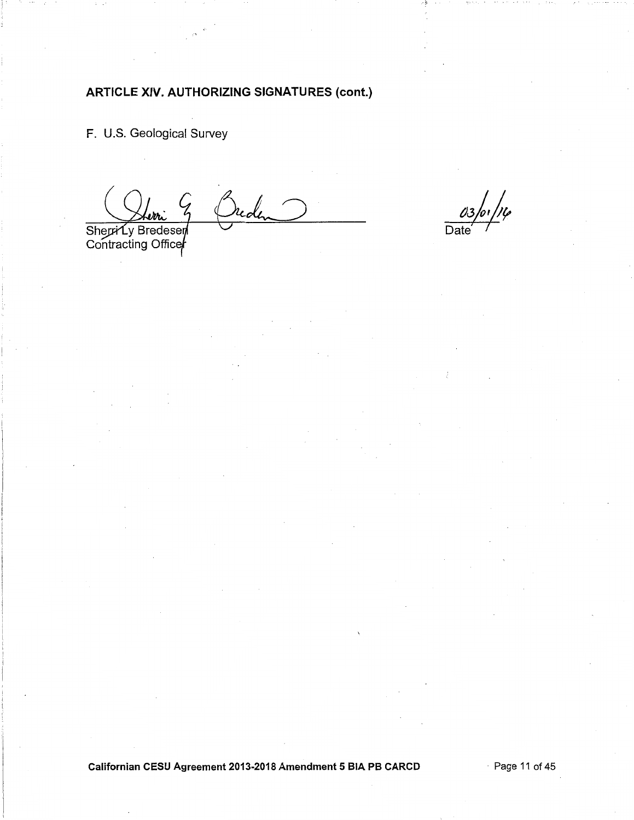F. U.S. Geological Survey

reden G

Sherri Ly Bredesen<br>Contracting Officer

 $03/0/14$ 

Californian CESU Agreement 2013-2018 Amendment 5 BIA PB CARCD

Page 11 of 45  $\cdot$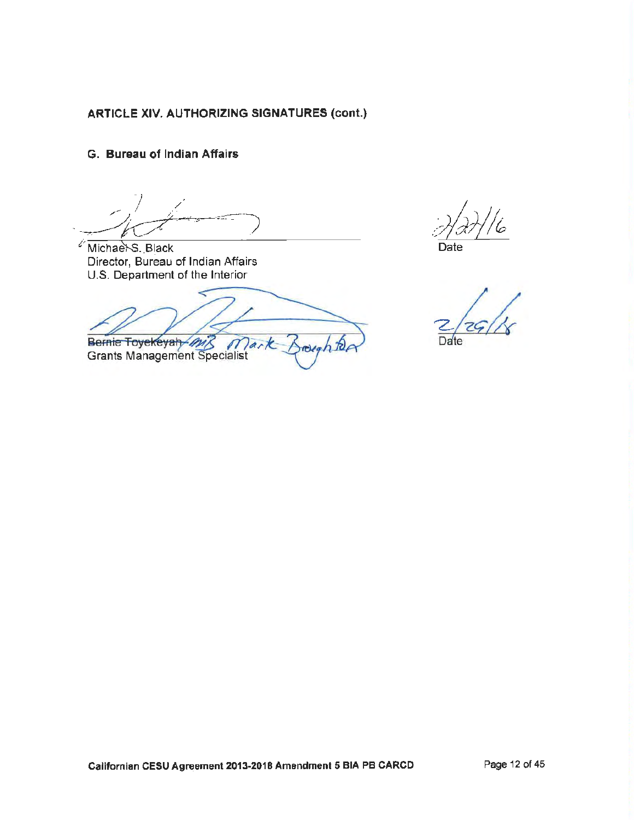G. Bureau of Indian Affairs

Michael S. Black Director, Bureau of Indian Affairs U.S. Department of the Interior

Bernie Toyekeyah M Mark rough to

**Grants Management Specialist** 

Date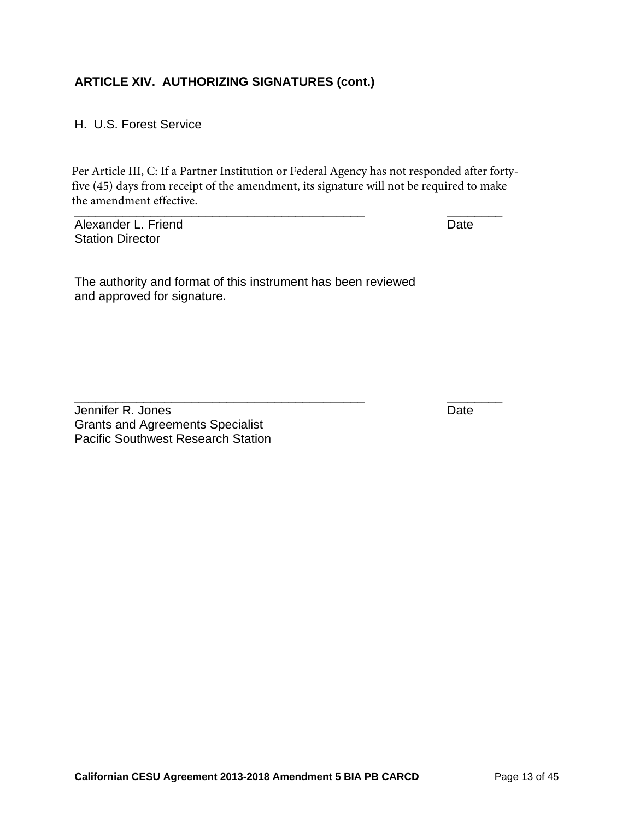H. U.S. Forest Service

\_\_\_\_\_\_\_\_\_\_\_\_\_\_\_\_\_\_\_\_\_\_\_\_\_\_\_\_\_\_\_\_\_\_\_\_\_\_\_\_\_\_ \_\_\_\_\_\_\_\_ Per Article III, C: If a Partner Institution or Federal Agency has not responded after fortyfive (45) days from receipt of the amendment, its signature will not be required to make the amendment effective.

\_\_\_\_\_\_\_\_\_\_\_\_\_\_\_\_\_\_\_\_\_\_\_\_\_\_\_\_\_\_\_\_\_\_\_\_\_\_\_\_\_\_ \_\_\_\_\_\_\_\_

Alexander L. Friend **Date** Station Director

The authority and format of this instrument has been reviewed and approved for signature.

Jennifer R. Jones Date Grants and Agreements Specialist Pacific Southwest Research Station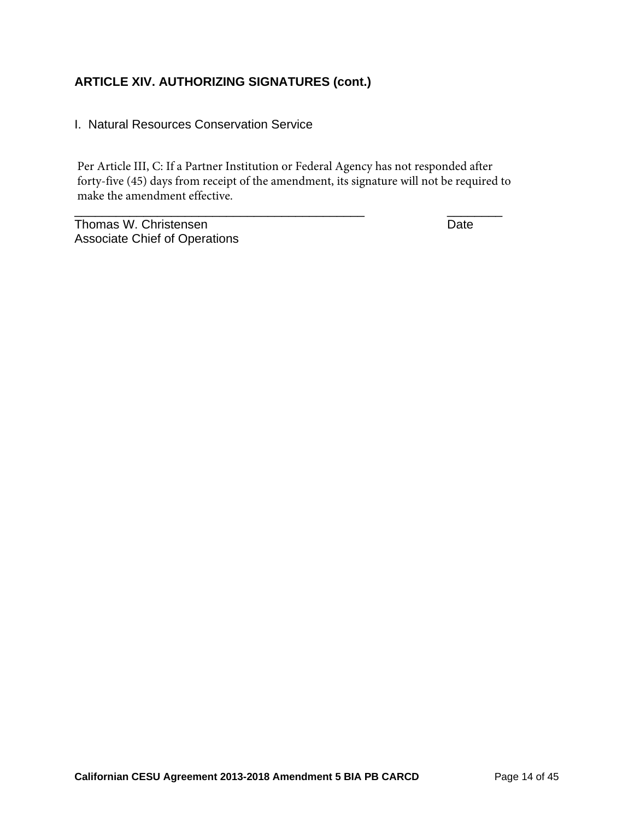I. Natural Resources Conservation Service

Per Article III, C: If a Partner Institution or Federal Agency has not responded after forty-five (45) days from receipt of the amendment, its signature will not be required to make the amendment effective.

\_\_\_\_\_\_\_\_\_\_\_\_\_\_\_\_\_\_\_\_\_\_\_\_\_\_\_\_\_\_\_\_\_\_\_\_\_\_\_\_\_\_ \_\_\_\_\_\_\_\_

Thomas W. Christensen **Date** Associate Chief of Operations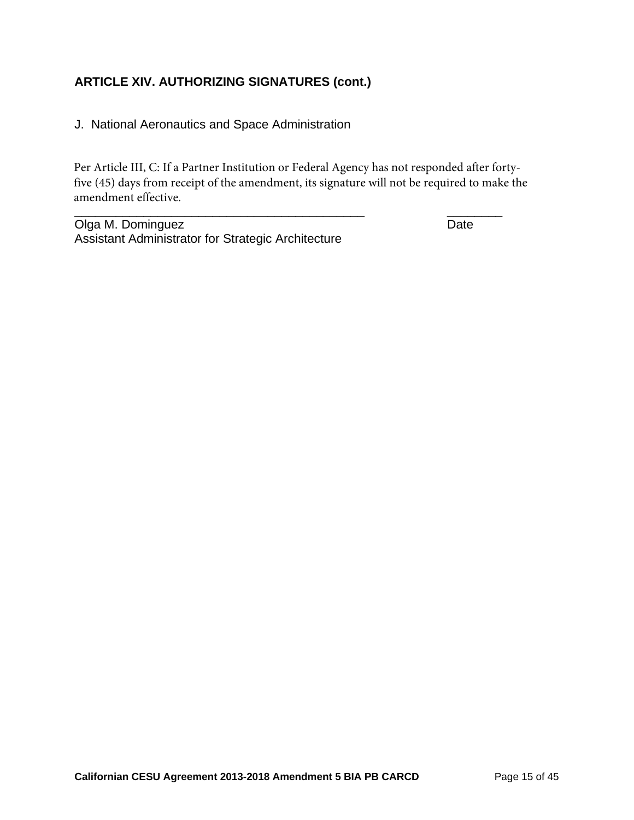J. National Aeronautics and Space Administration

Per Article III, C: If a Partner Institution or Federal Agency has not responded after fortyfive (45) days from receipt of the amendment, its signature will not be required to make the amendment effective.

\_\_\_\_\_\_\_\_\_\_\_\_\_\_\_\_\_\_\_\_\_\_\_\_\_\_\_\_\_\_\_\_\_\_\_\_\_\_\_\_\_\_ \_\_\_\_\_\_\_\_

Olga M. Dominguez **Date** Assistant Administrator for Strategic Architecture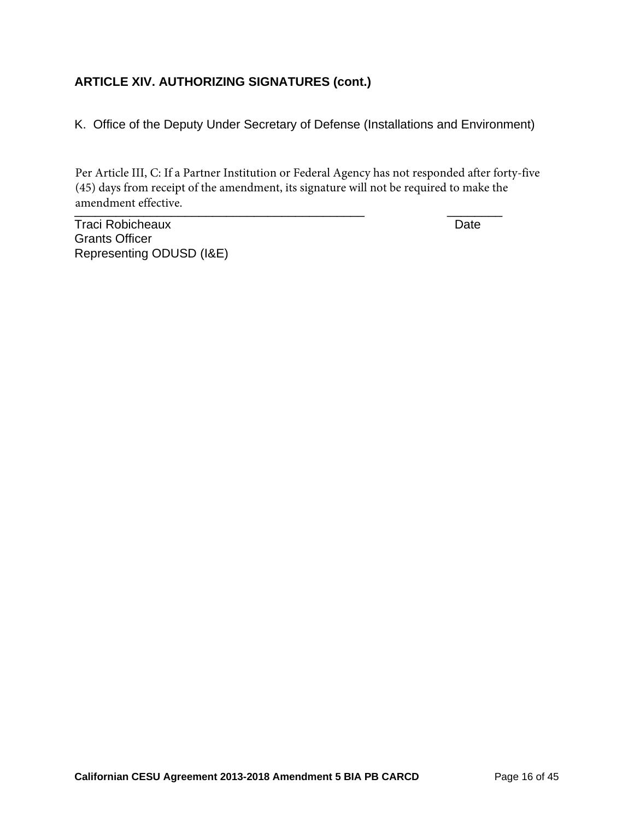K. Office of the Deputy Under Secretary of Defense (Installations and Environment)

anchanch checuve. Per Article III, C: If a Partner Institution or Federal Agency has not responded after forty-five (45) days from receipt of the amendment, its signature will not be required to make the amendment effective.

Traci Robicheaux **Date** Grants Officer Representing ODUSD (I&E)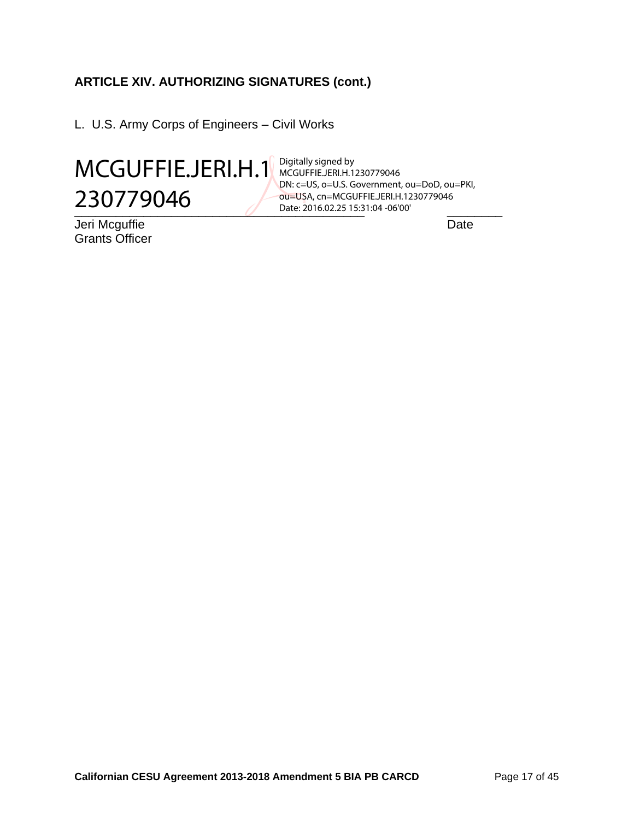L. U.S. Army Corps of Engineers – Civil Works



Jeri Mcguffie Date Grants Officer

\_\_\_\_\_\_\_\_\_\_\_\_\_\_\_\_\_\_\_\_\_\_\_\_\_\_\_\_\_\_\_\_\_\_\_\_\_\_\_\_\_\_ \_\_\_\_\_\_\_\_ Date: 2016.02.25 15:31:04 -06'00'Digitally signed by MCGUFFIE.JERI.H.1230779046 DN: c=US, o=U.S. Government, ou=DoD, ou=PKI, ou=USA, cn=MCGUFFIE.JERI.H.1230779046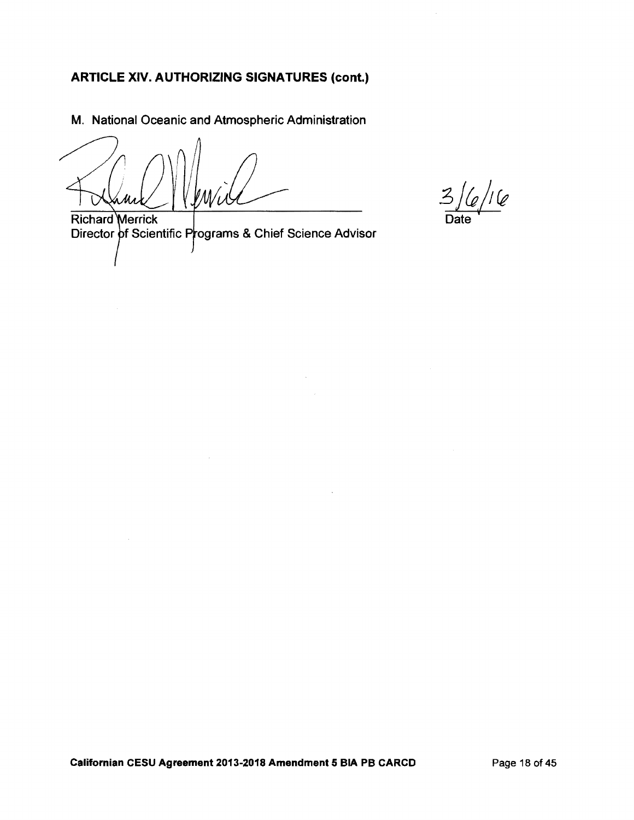M. National Oceanic and Atmospheric Administration

 $\frac{1}{2}$ /I  $\frac{1}{2}$ 

**Richard Merrick** Director of Scientific Programs & Chief Science Advisor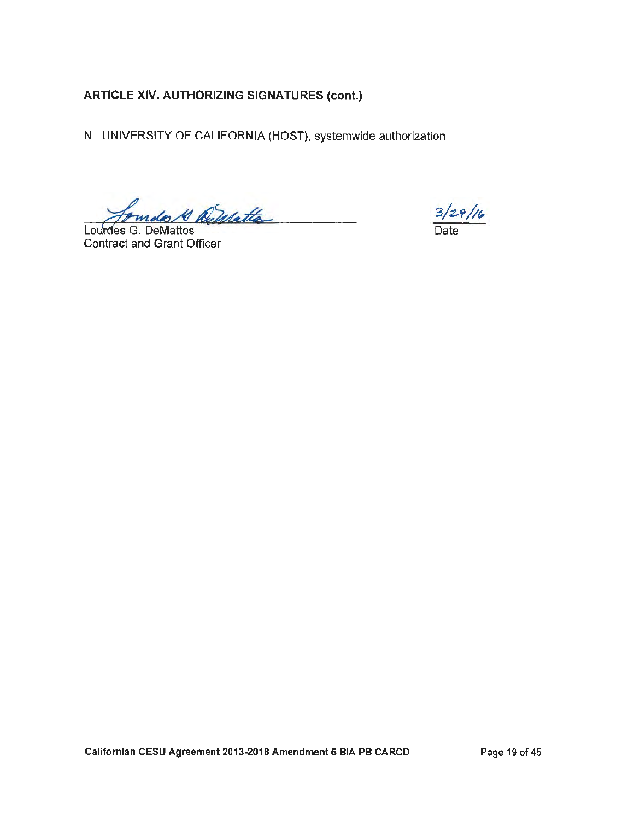N. UNIVERSITY OF CALIFORNIA (HOST), systemwide authorization

amdo 10 Demette

Lourdes G. DeMattos Contract and Grant Officer

 $\frac{3}{29}/\frac{1}{6}$ Date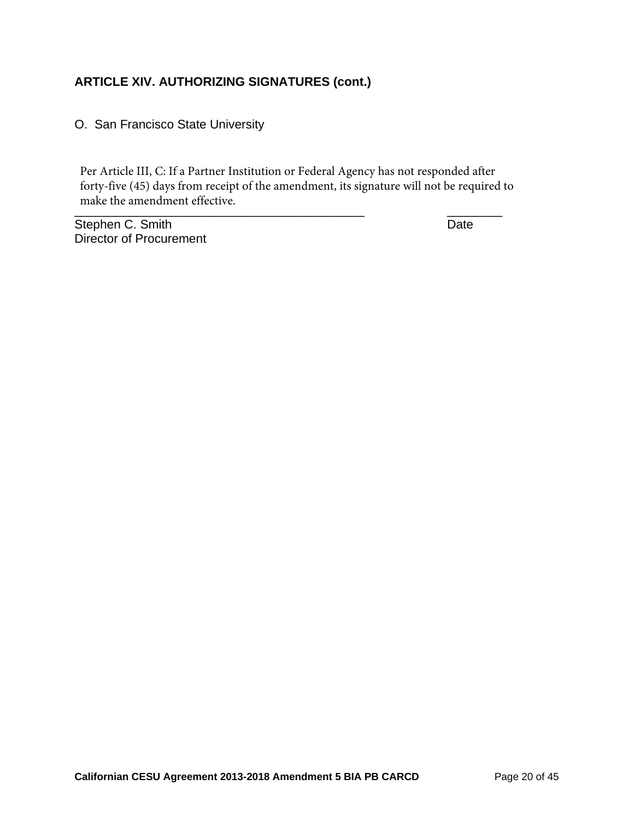O. San Francisco State University

\_\_\_\_\_\_\_\_\_\_\_\_\_\_\_\_\_\_\_\_\_\_\_\_\_\_\_\_\_\_\_\_\_\_\_\_\_\_\_\_\_\_ \_\_\_\_\_\_\_\_ Per Article III, C: If a Partner Institution or Federal Agency has not responded after forty-five (45) days from receipt of the amendment, its signature will not be required to make the amendment effective.

Stephen C. Smith Date Date Date Director of Procurement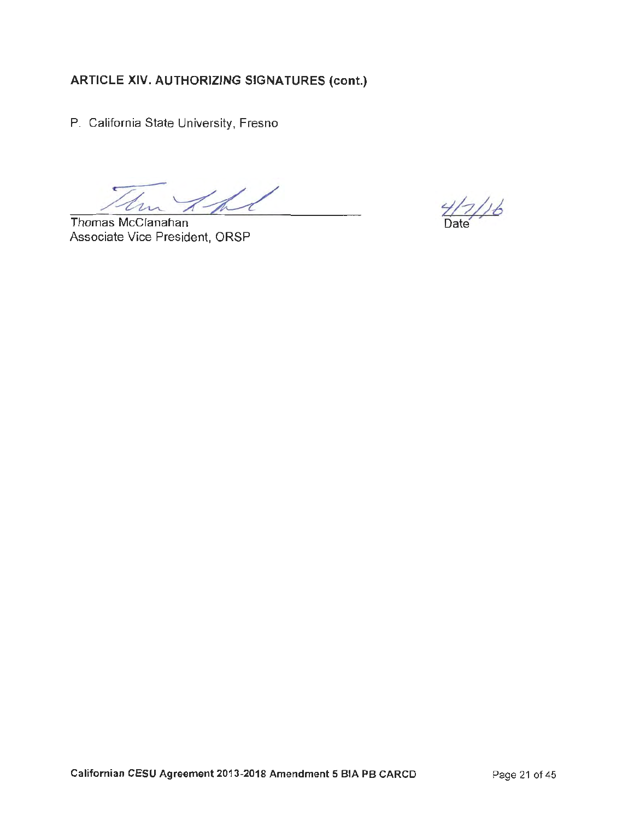P. California State University, Fresno

Thomas McClanahan Associate Vice President, ORSP

 $4/7/16$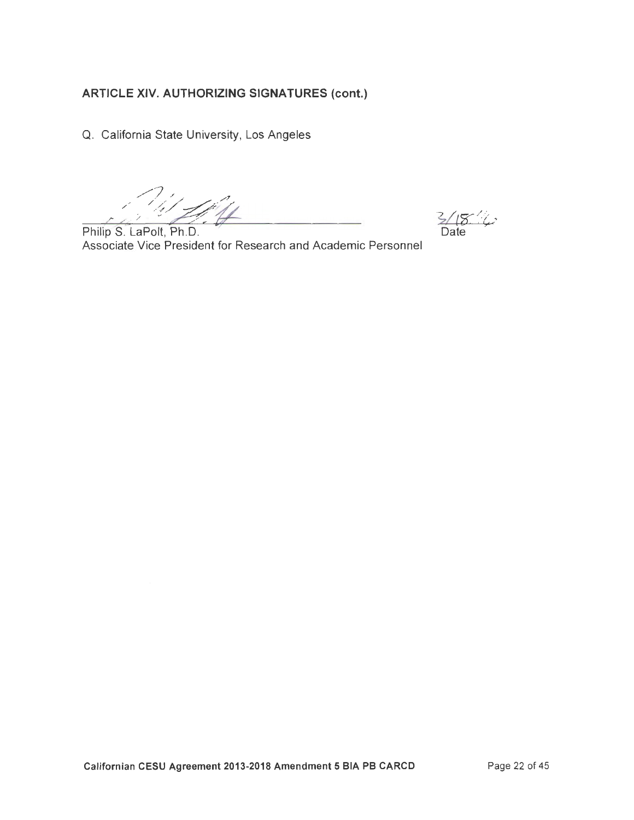Q. California State University, Los Angeles

 $3/18/4$ Date

Philip S. LaPolt, Ph.D. Associate Vice President for Research and Academic Personnel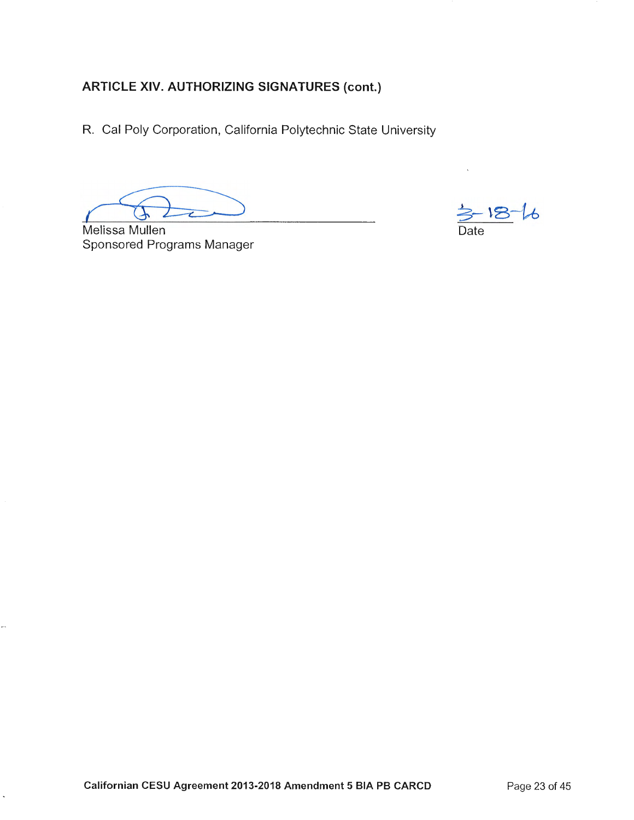R. Cal Poly Corporation, California Polytechnic State University

 $-18-16$ Date

Melissa Mullen Sponsored Programs Manager

l,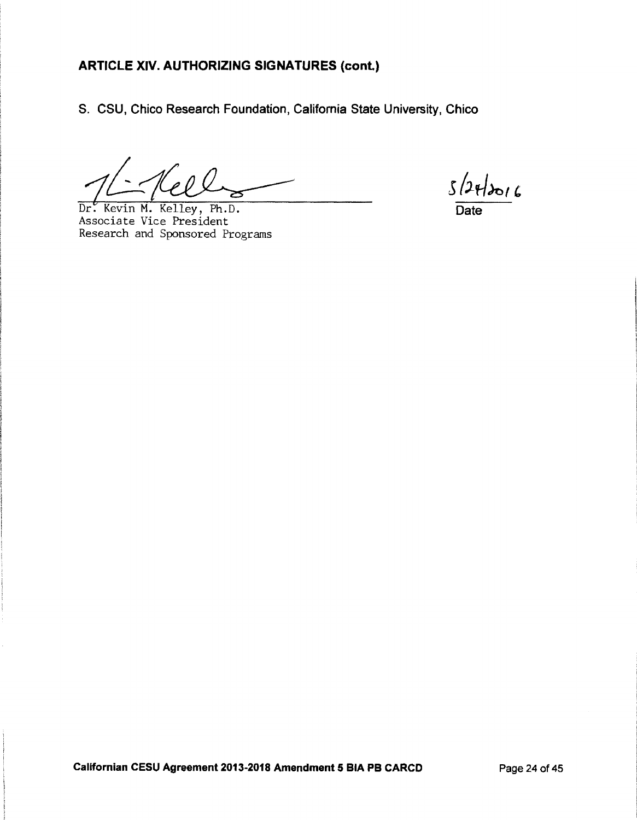S. CSU, Chico Research Foundation, California State University, Chico

Dr. Kevin M. Kelley, Ph.D.<br>Associate Vice President Research and Sponsored Programs

 $5/24/2016$ Date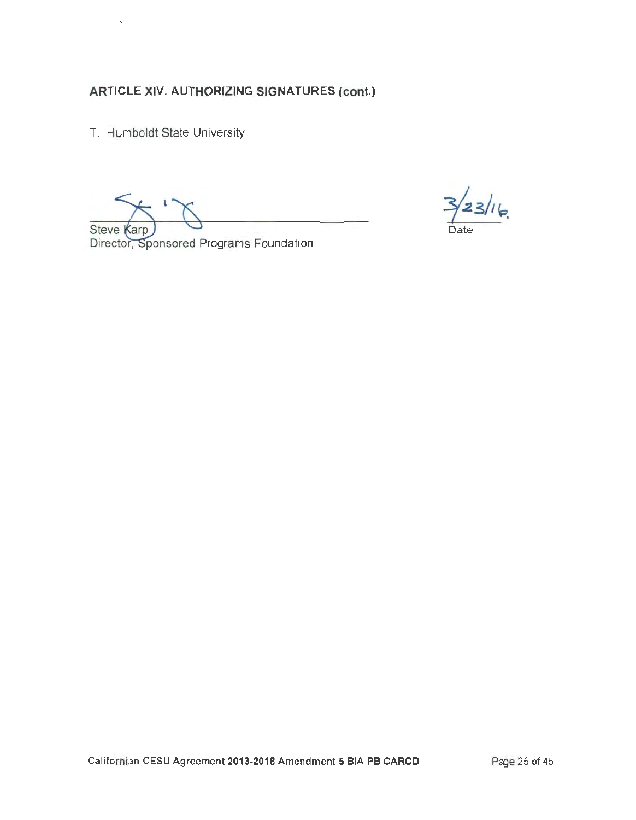T. Humboldt State University

Steve Karp

 $23/16$ 

Director, Sponsored Programs Foundation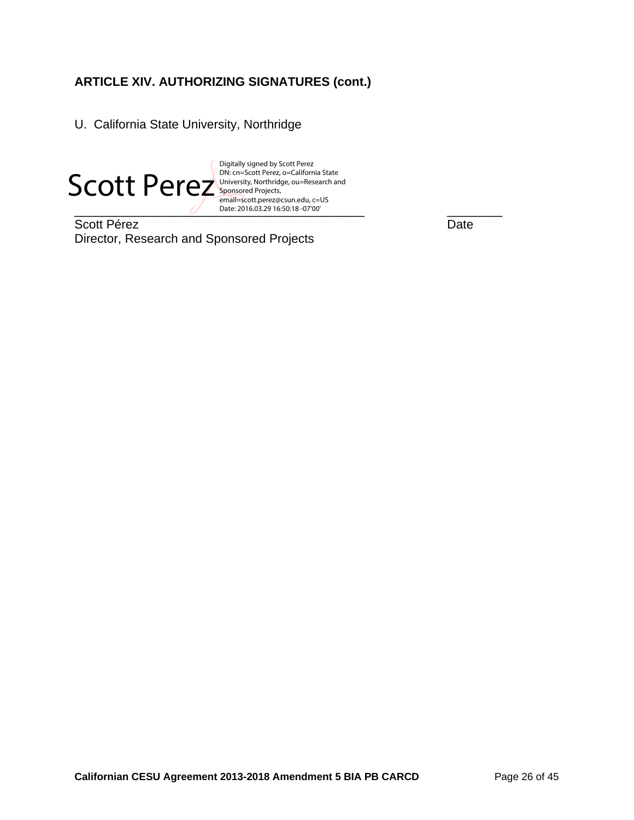U. California State University, Northridge



email=scott.perez@csun.edu, c=US<br>Date: 2016.03.29 16:50:18 -07'00' Digitally signed by Scott Perez University, Northridge, ou=Research and Sponsored Projects, Date: 2016.03.29 16:50:18 -07'00'

Scott Pérez Date Director, Research and Sponsored Projects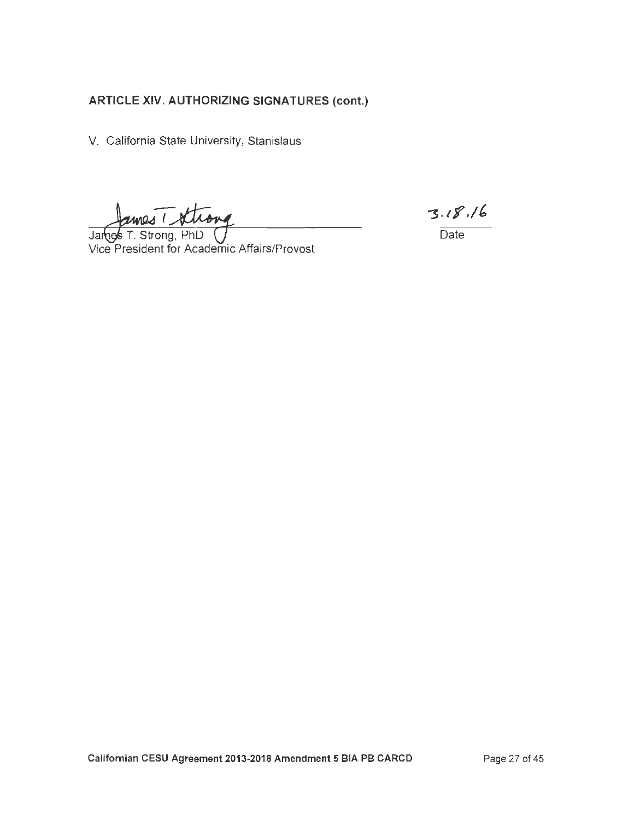V. California State University, Stanislaus

mes driving

James T. Strong, PhD Vice President for Academic Affairs/Provost

 $3.18.16$ 

Date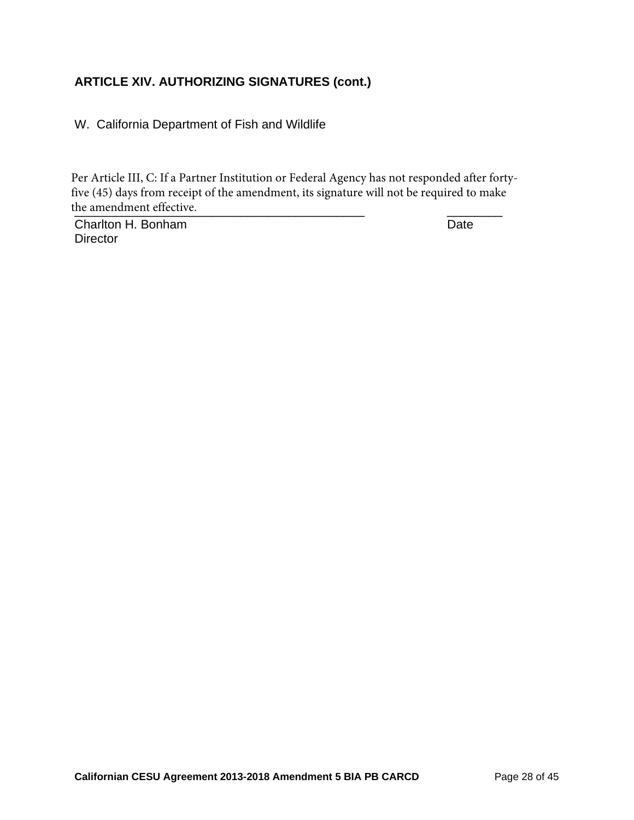W. California Department of Fish and Wildlife

the amendment effective. Per Article III, C: If a Partner Institution or Federal Agency has not responded after fortyfive (45) days from receipt of the amendment, its signature will not be required to make

Charlton H. Bonham Date **Director**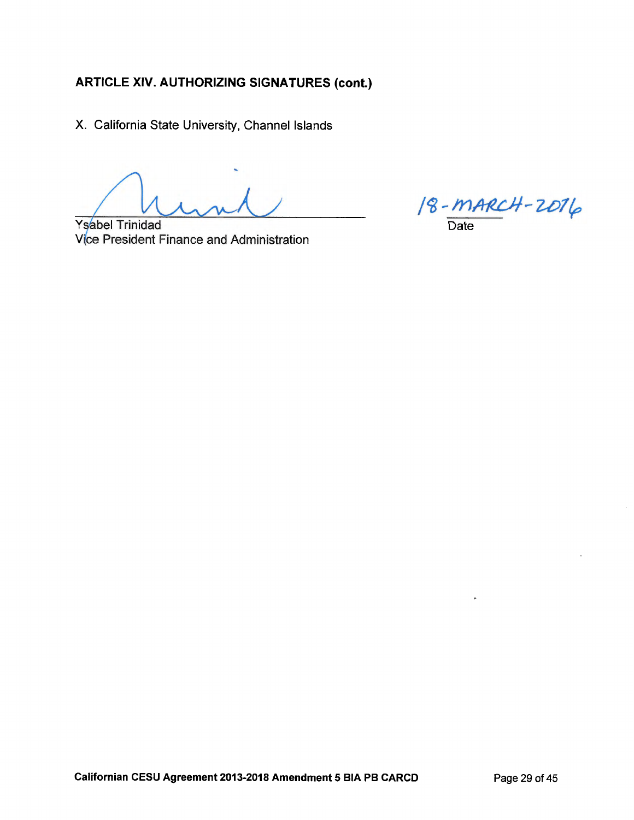X. California State University, Channel Islands

**Ysabel Trinidad** Vice President Finance and Administration

 $18 - MARCH - 2016$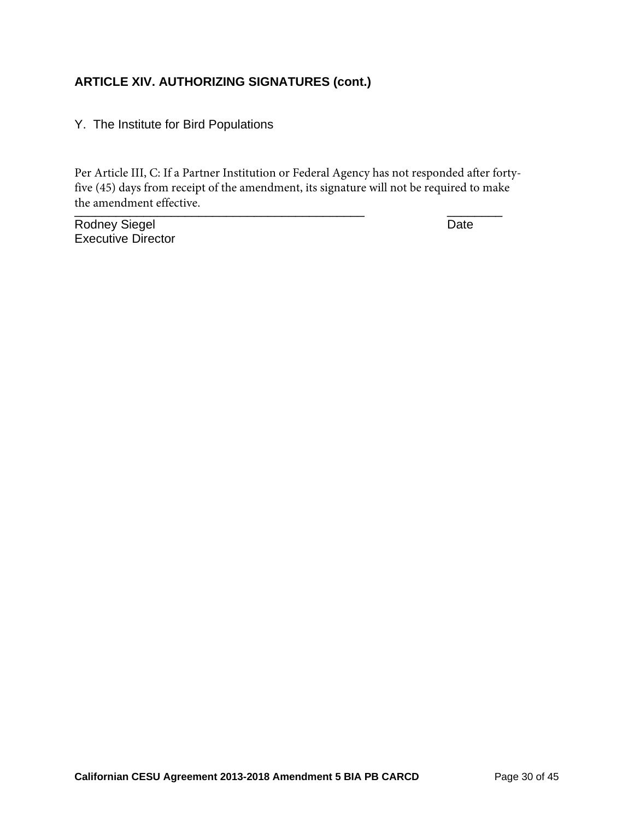#### Y. The Institute for Bird Populations

 $\frac{1}{2}$  . The americance of the contract of the contract of the contract of the contract of the contract of the contract of the contract of the contract of the contract of the contract of the contract of the contract of Per Article III, C: If a Partner Institution or Federal Agency has not responded after fortyfive (45) days from receipt of the amendment, its signature will not be required to make the amendment effective.

Rodney Siegel **Date** Executive Director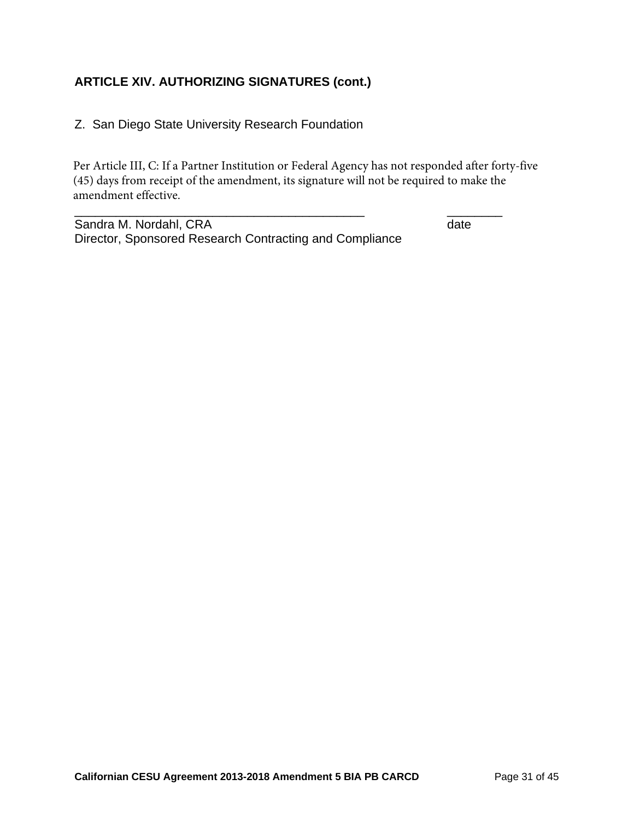#### Z. San Diego State University Research Foundation

Per Article III, C: If a Partner Institution or Federal Agency has not responded after forty-five (45) days from receipt of the amendment, its signature will not be required to make the amendment effective.

\_\_\_\_\_\_\_\_\_\_\_\_\_\_\_\_\_\_\_\_\_\_\_\_\_\_\_\_\_\_\_\_\_\_\_\_\_\_\_\_\_\_ \_\_\_\_\_\_\_\_

Sandra M. Nordahl, CRA date and the state of the state of the state date Director, Sponsored Research Contracting and Compliance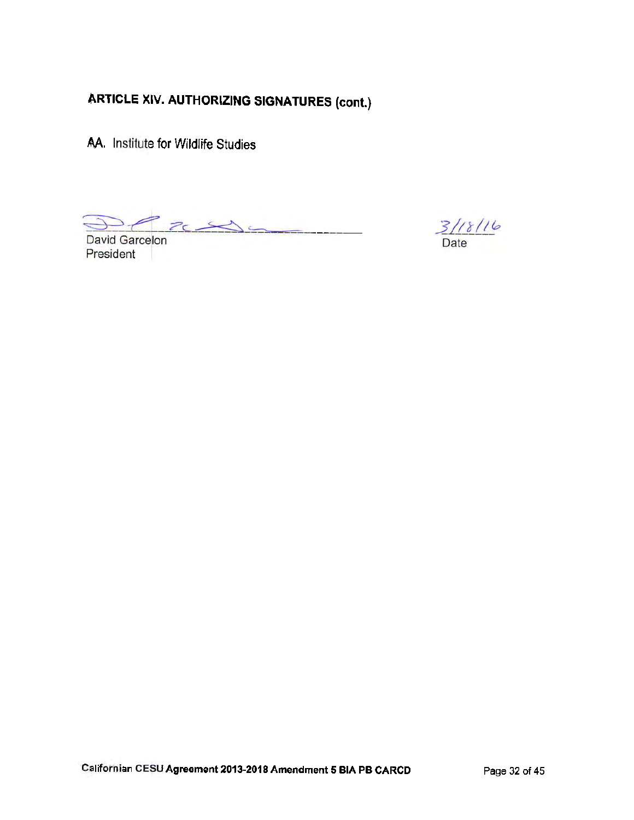AA. Institute for Wildlife Studies

 $2c$ 

David Garcelon President

 $\frac{3}{18}$ //8//6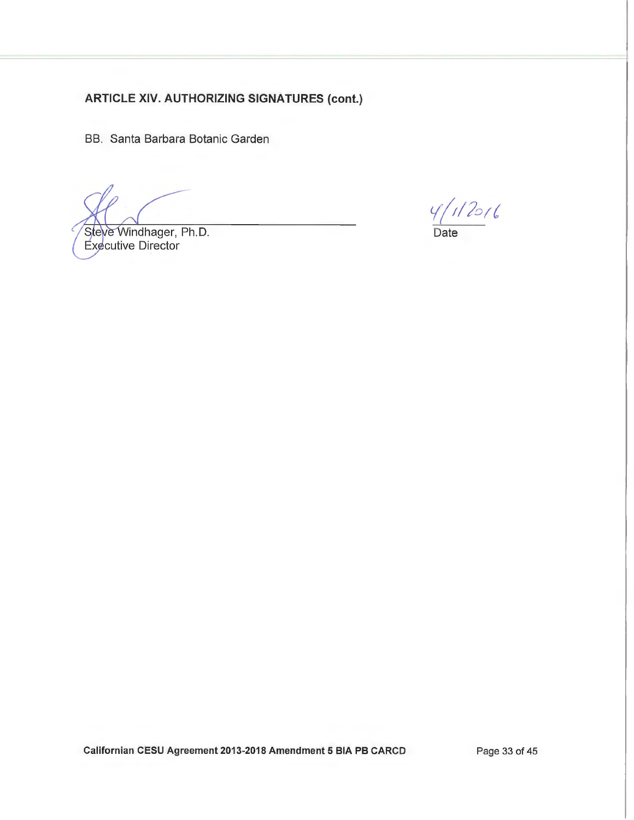BB. Santa Barbara Botanic Garden

Steve Windhager, Ph.D. Executive Director

 $\frac{4}{112016}$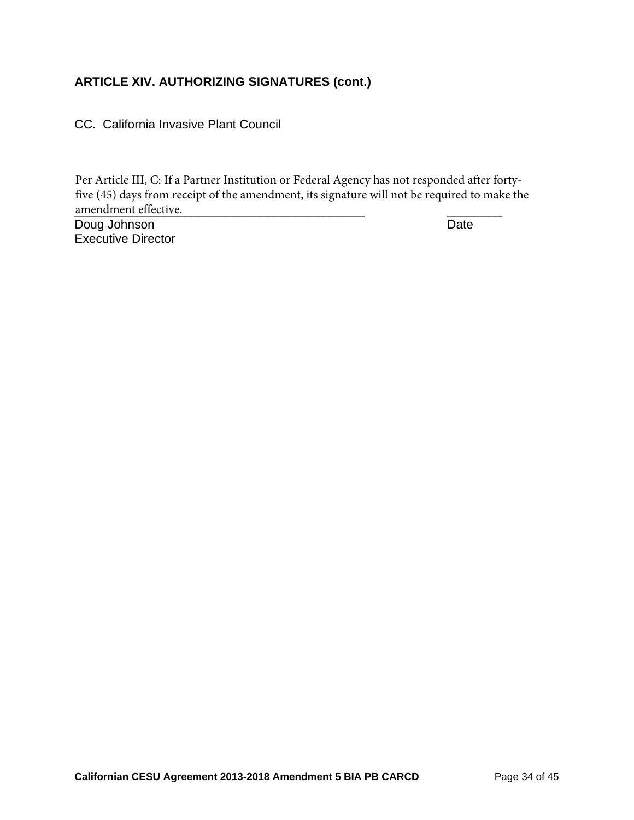CC. California Invasive Plant Council

\_\_\_\_\_\_\_\_\_\_\_\_\_\_\_\_\_\_\_\_\_\_\_\_\_\_\_\_\_\_\_\_\_\_\_\_\_\_\_\_\_\_ \_\_\_\_\_\_\_\_ amendment effective.Per Article III, C: If a Partner Institution or Federal Agency has not responded after fortyfive (45) days from receipt of the amendment, its signature will not be required to make the

Doug Johnson Date Executive Director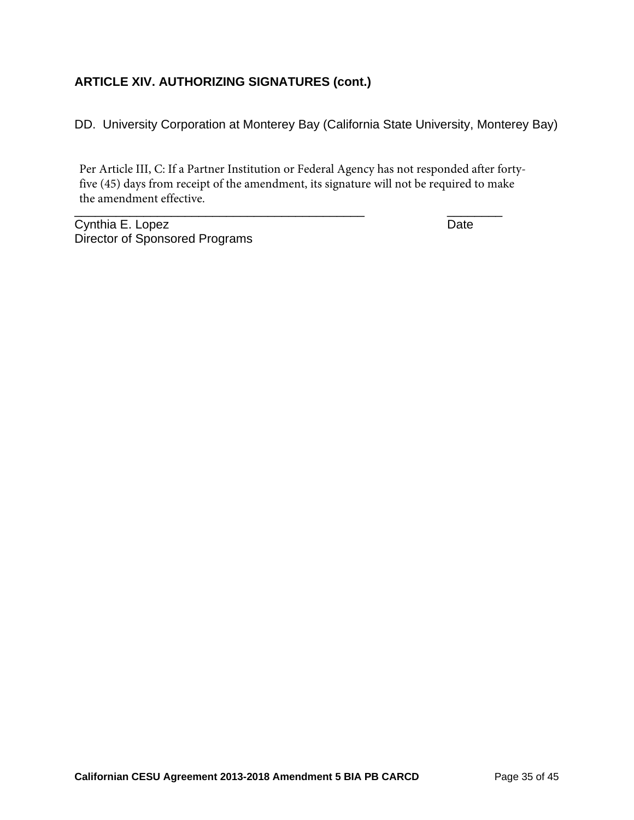DD. University Corporation at Monterey Bay (California State University, Monterey Bay)

\_\_\_\_\_\_\_\_\_\_\_\_\_\_\_\_\_\_\_\_\_\_\_\_\_\_\_\_\_\_\_\_\_\_\_\_\_\_\_\_\_\_ \_\_\_\_\_\_\_\_ Per Article III, C: If a Partner Institution or Federal Agency has not responded after fortyfive (45) days from receipt of the amendment, its signature will not be required to make the amendment effective.

Cynthia E. Lopez Date Director of Sponsored Programs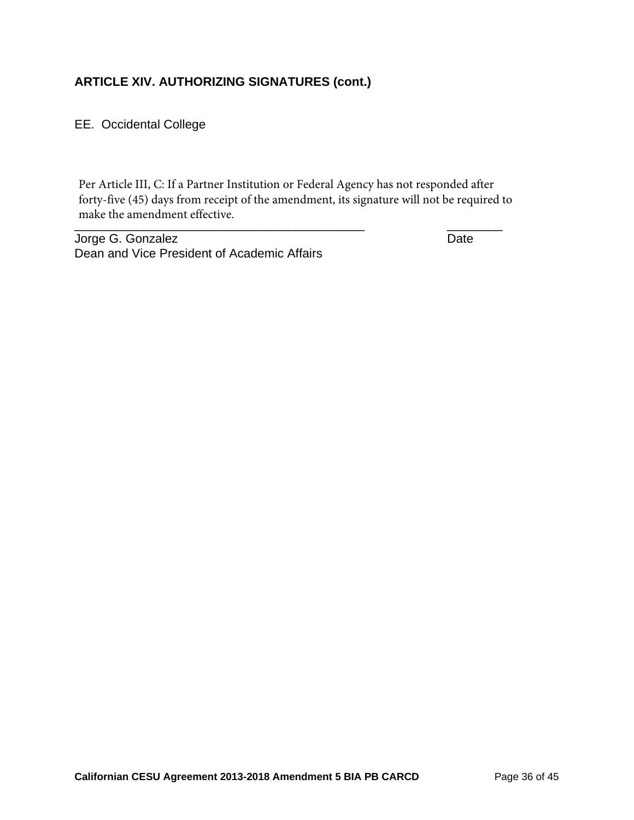EE. Occidental College

\_\_\_\_\_\_\_\_\_\_\_\_\_\_\_\_\_\_\_\_\_\_\_\_\_\_\_\_\_\_\_\_\_\_\_\_\_\_\_\_\_\_ \_\_\_\_\_\_\_\_ Per Article III, C: If a Partner Institution or Federal Agency has not responded after forty-five (45) days from receipt of the amendment, its signature will not be required to make the amendment effective.

Jorge G. Gonzalez **Date** Dean and Vice President of Academic Affairs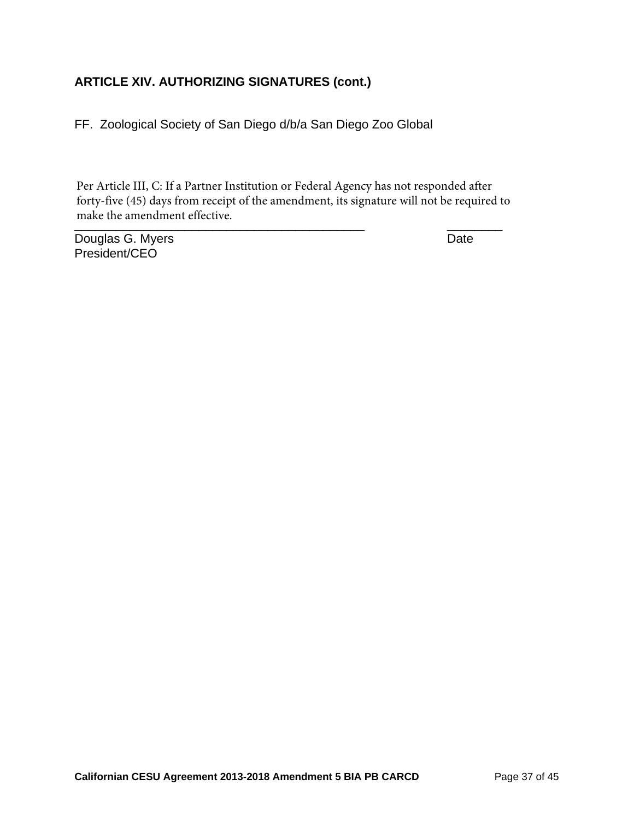FF. Zoological Society of San Diego d/b/a San Diego Zoo Global

\_\_\_\_\_\_\_\_\_\_\_\_\_\_\_\_\_\_\_\_\_\_\_\_\_\_\_\_\_\_\_\_\_\_\_\_\_\_\_\_\_\_ \_\_\_\_\_\_\_\_ Per Article III, C: If a Partner Institution or Federal Agency has not responded after forty-five (45) days from receipt of the amendment, its signature will not be required to make the amendment effective.

Douglas G. Myers **Date** President/CEO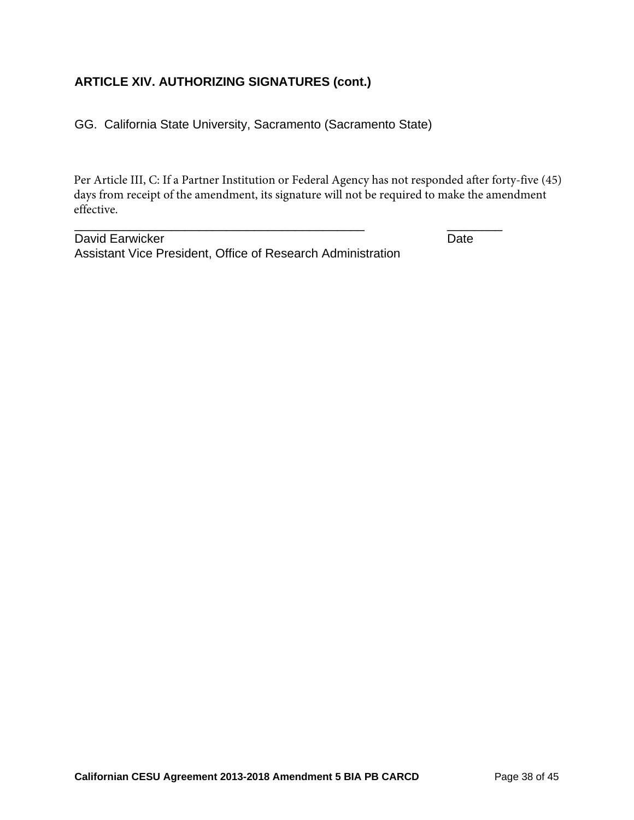GG. California State University, Sacramento (Sacramento State)

Per Article III, C: If a Partner Institution or Federal Agency has not responded after forty-five (45) days from receipt of the amendment, its signature will not be required to make the amendment effective.

David Earwicker **Date** Assistant Vice President, Office of Research Administration

\_\_\_\_\_\_\_\_\_\_\_\_\_\_\_\_\_\_\_\_\_\_\_\_\_\_\_\_\_\_\_\_\_\_\_\_\_\_\_\_\_\_ \_\_\_\_\_\_\_\_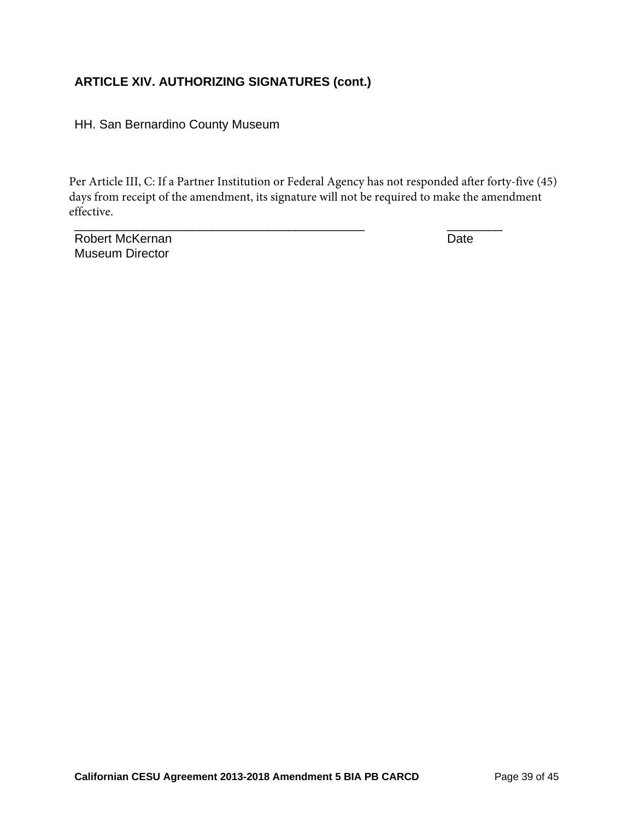HH. San Bernardino County Museum

Per Article III, C: If a Partner Institution or Federal Agency has not responded after forty-five (45) days from receipt of the amendment, its signature will not be required to make the amendment effective.

\_\_\_\_\_\_\_\_\_\_\_\_\_\_\_\_\_\_\_\_\_\_\_\_\_\_\_\_\_\_\_\_\_\_\_\_\_\_\_\_\_\_ \_\_\_\_\_\_\_\_

Robert McKernan Date Museum Director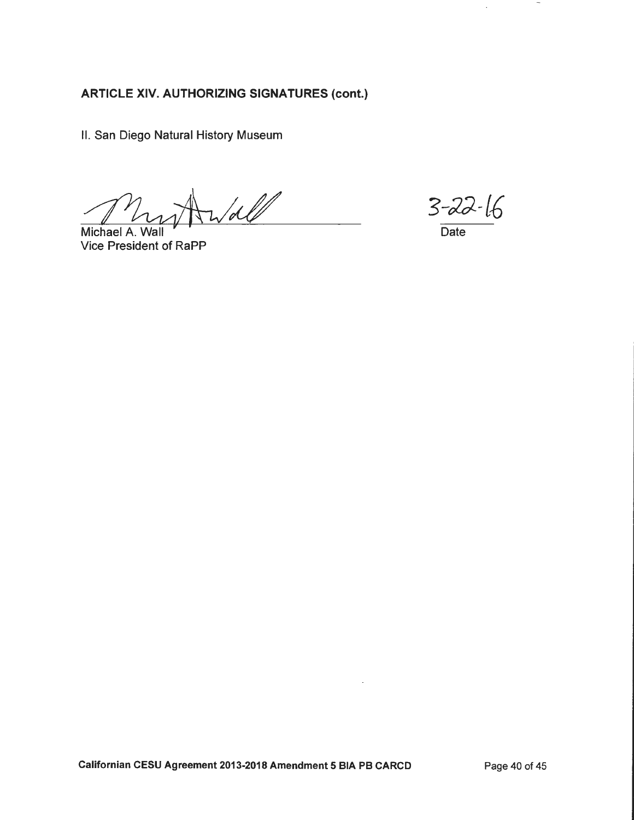II. San Diego Natural History Museum

 $\frac{1}{d}$ 

Michael A. Wall **Vice President of RaPP** 

 $3 - 22 - 16$ 

 $\overline{\phantom{a}}$ 

 $\hat{\mathcal{A}}$ 

Date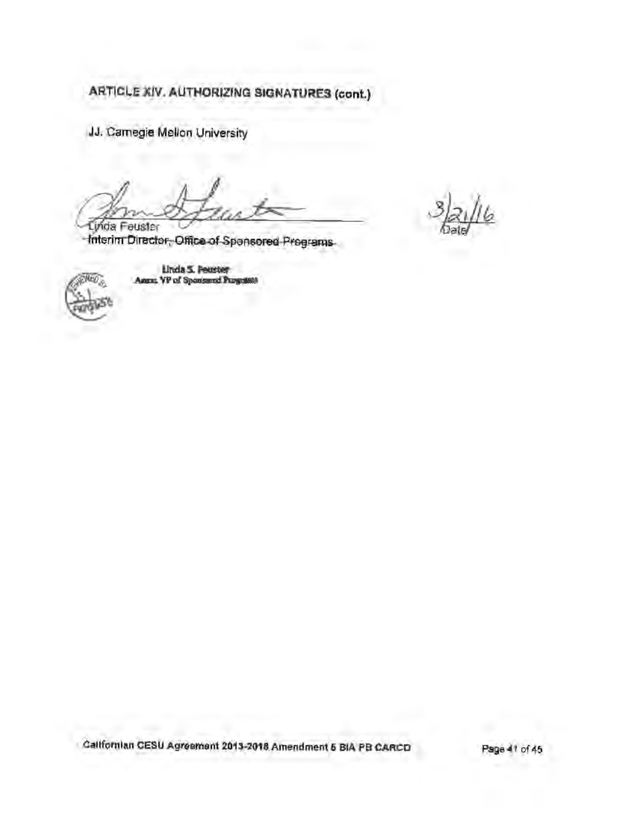JJ. Camegie Mellon University

Linda Feuster Interim Director, Office of Spensored Pregrams

Neg

Linda S. Pearter<br>Annu VP of Spontered Programs

Californian CESU Agreement 2013-2018 Amendment 5 BIA PB CARCO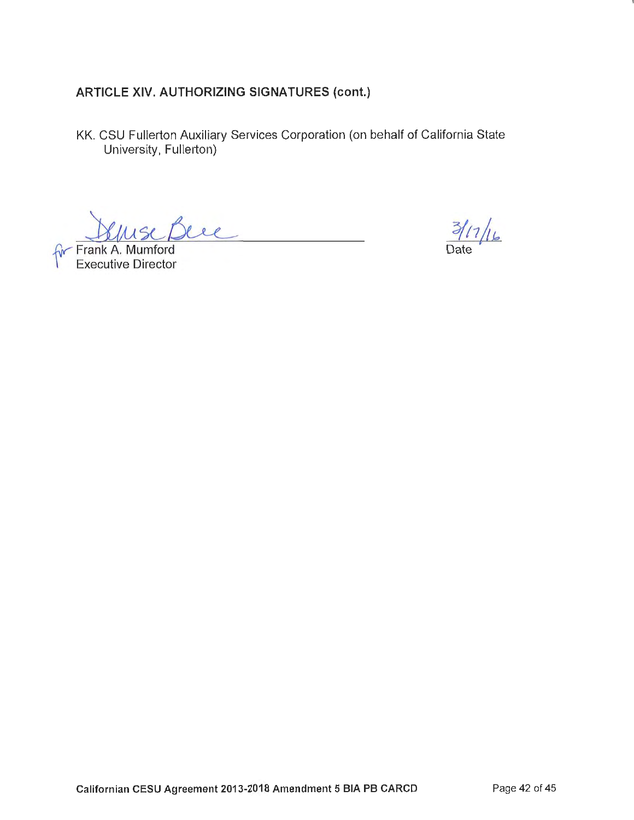KK. CSU Fullerton Auxiliary Services Corporation (on behalf of California State University, Fullerton)

Frank A. Muniford

**Executive Director** 

 $3/17/16$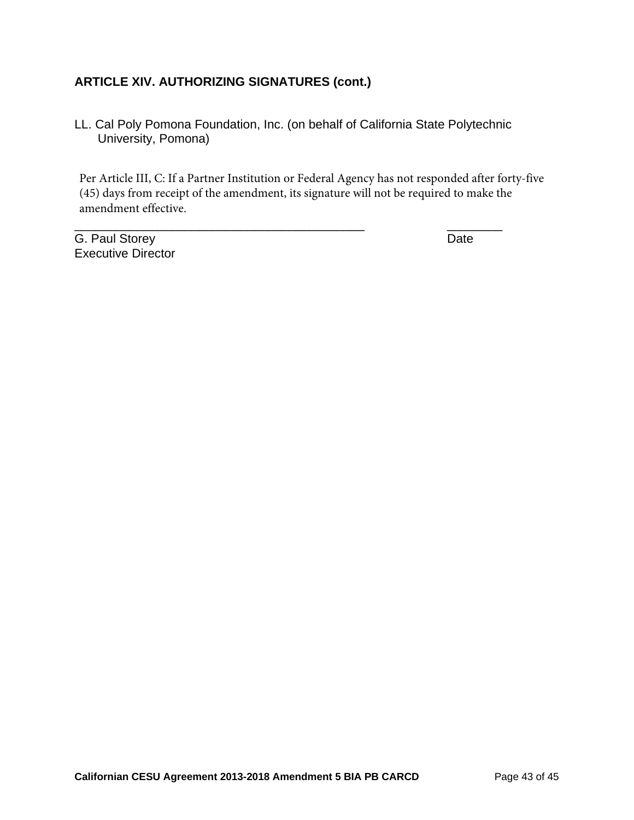LL. Cal Poly Pomona Foundation, Inc. (on behalf of California State Polytechnic University, Pomona)

\_\_\_\_\_\_\_\_\_\_\_\_\_\_\_\_\_\_\_\_\_\_\_\_\_\_\_\_\_\_\_\_\_\_\_\_\_\_\_\_\_\_ \_\_\_\_\_\_\_\_

Per Article III, C: If a Partner Institution or Federal Agency has not responded after forty-five (45) days from receipt of the amendment, its signature will not be required to make the amendment effective.

G. Paul Storey Date Executive Director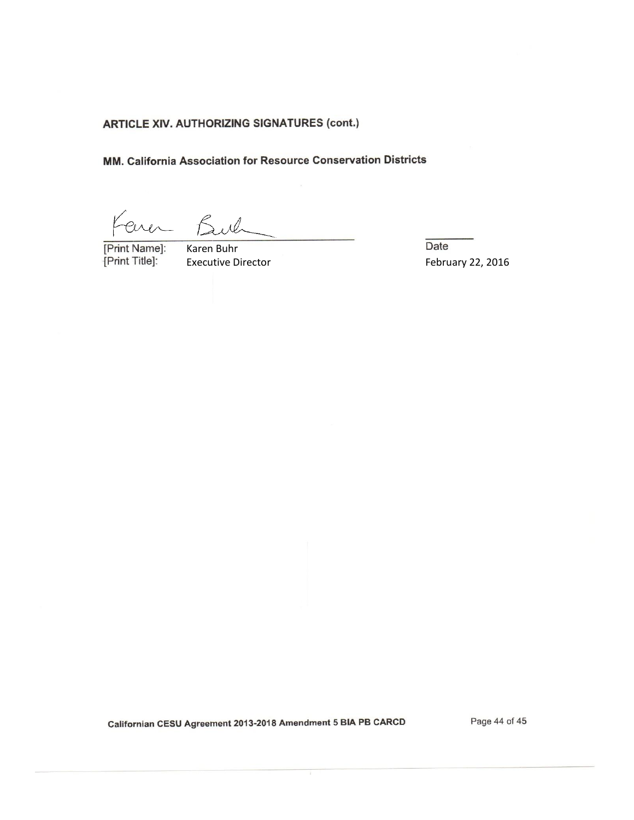MM. California Association for Resource Conservation Districts

Faren Buch

[Print Name]: [Print Title]:

Karen Buhr Executive Directo Date February 22, 2016

Californian CESU Agreement 2013-2018 Amendment 5 BIA PB CARCD

Page 44 of 45